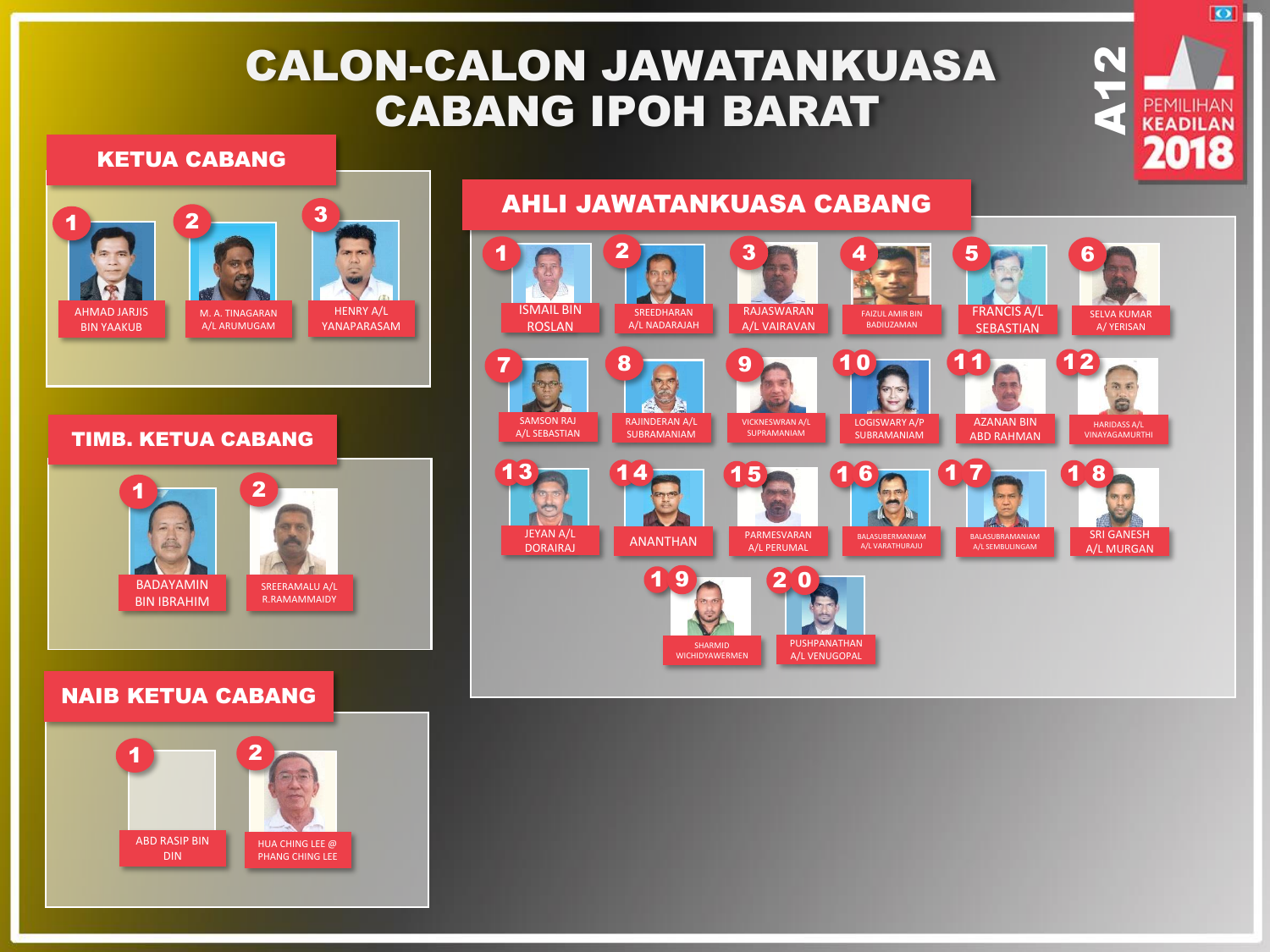# CALON-CALON JAWATANKUASA CABANG IPOH BARAT

### KETUA CABANG



HENRY A/L YANAPARASAM

#### TIMB. KETUA CABANG



## NAIB KETUA CABANG



#### AHLI JAWATANKUASA CABANG  $1$  0  $2$  0  $3$   $1$   $4$   $1$   $5$   $1$   $6$ ISMAIL BIN RAJASWARAN FRANCIS A/L SREEDHARAN SELVA KUMAR FAIZUL AMIR BIN ROSLAN A/L NADARAJAH A/L VAIRAVAN BADIUZAMAN **SEBASTIAN** A/ YERISAN  $7 \bullet$  8  $\bullet$  9 10 11 12 微布 Ë SAMSON RAJ RAJINDERAN A/L LOGISWARY A/P AZANAN BIN VICKNESWRAN A/L HARIDASS A/L **SUPRAMANIAM** A/L SEBASTIAN SUBRAMANIAM SUBRAMANIAM ABD RAHMAN VINAYAGAMURTHI 13 14 15  $16$   $17$  $1<sub>8</sub>$ JEYAN A/L<br>DORAIRAJ ANANTHAN A/L PERUMAL JEYAN A/L SRI GANESH BALASUBERMANIAM BALASUBRAMANIAM A/L SEMBULINGAM A/L PERUMAL A/L VARATHURAJU A/L MURGAN  $19 - 20$ PUSHPANATHAN SHARMID WICHIDYAWERMEN A/L VENUGOPAL

**A12** 

 $\overline{\bullet}$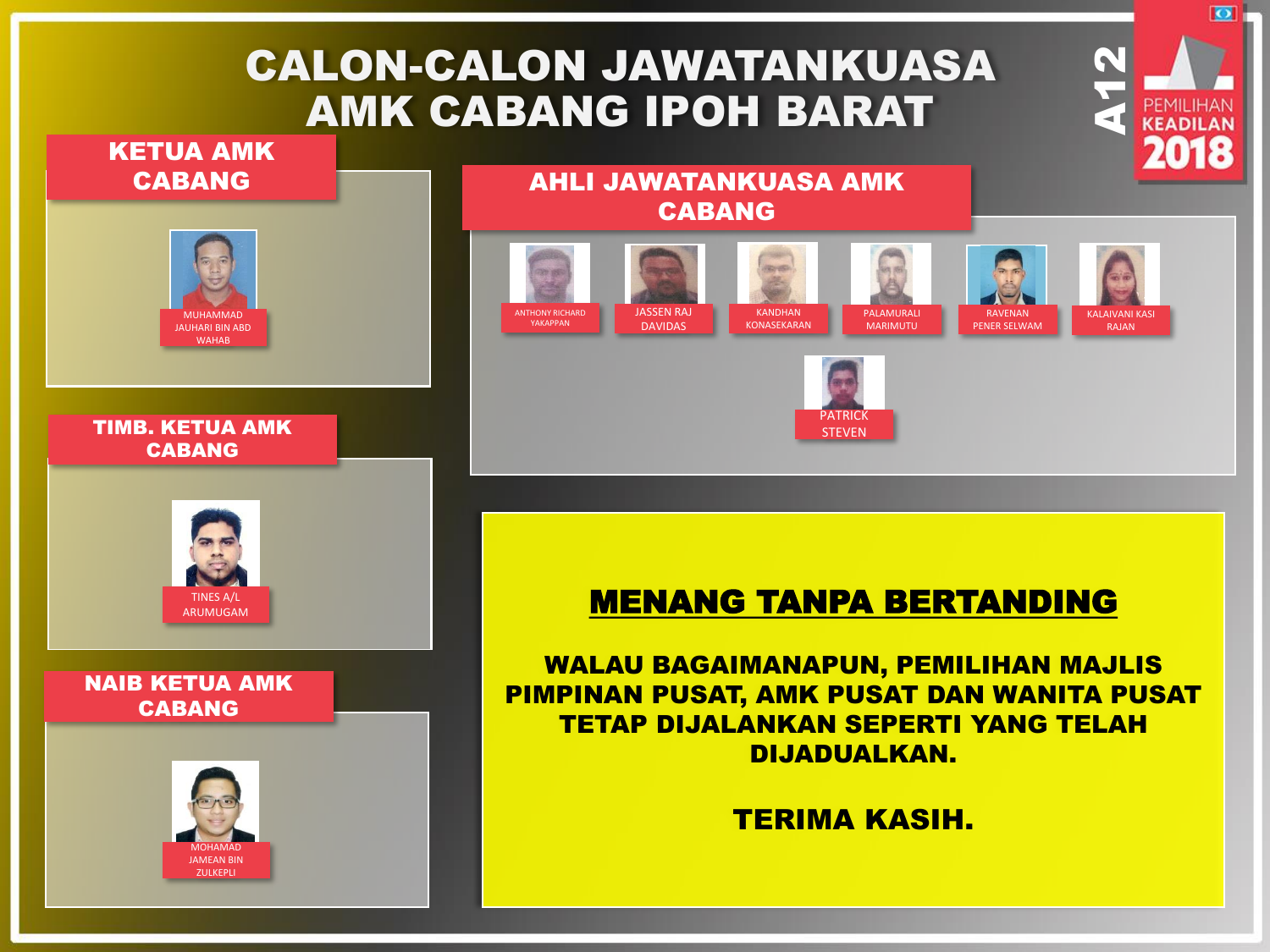# CALON-CALON JAWATANKUASA AMK CABANG IPOH BARAT





**A12** 

ा

# MENANG TANPA BERTANDING

**PATRICK STEVEN** 

WALAU BAGAIMANAPUN, PEMILIHAN MAJLIS PIMPINAN PUSAT, AMK PUSAT DAN WANITA PUSAT TETAP DIJALANKAN SEPERTI YANG TELAH DIJADUALKAN.

TERIMA KASIH.